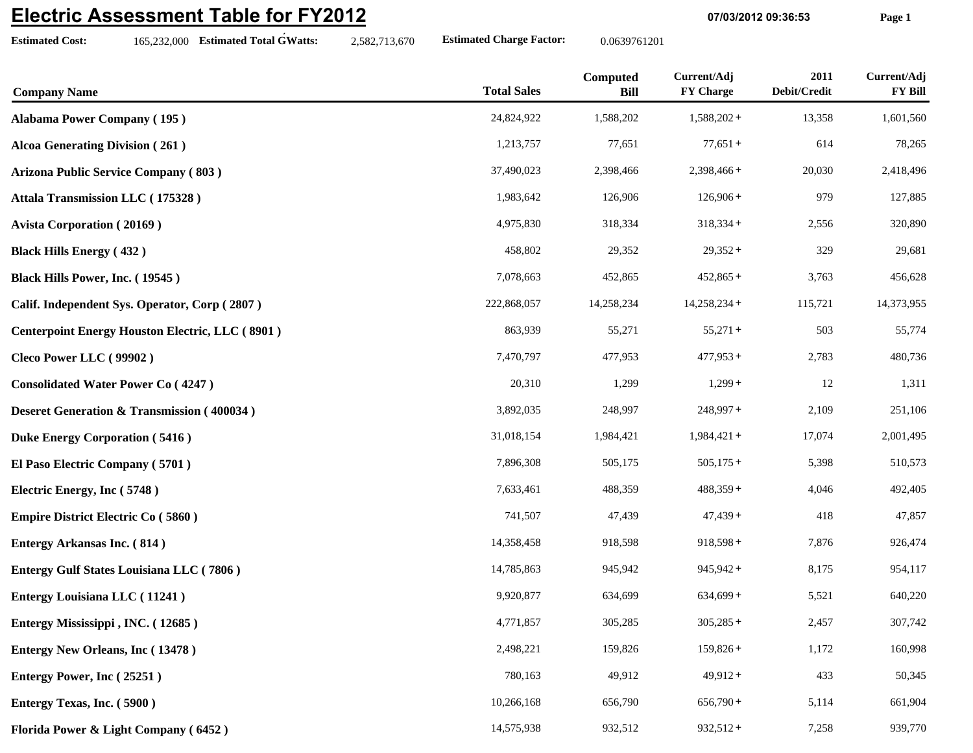## **Electric Assessment Table for FY2012**

**Estimated Cost:**

165,232,000 **Estimated Total GWatts:** 2,582,713,670 **Estimated Charge Factor:** 0.0639761201

**07/03/2012 09:36:53 Page 1**

| <b>Company Name</b>                                    | <b>Total Sales</b> | Computed<br><b>Bill</b> | Current/Adj<br><b>FY Charge</b> | 2011<br>Debit/Credit | Current/Adj<br><b>FY Bill</b> |
|--------------------------------------------------------|--------------------|-------------------------|---------------------------------|----------------------|-------------------------------|
| <b>Alabama Power Company (195)</b>                     | 24,824,922         | 1,588,202               | $1,588,202+$                    | 13,358               | 1,601,560                     |
| <b>Alcoa Generating Division (261)</b>                 | 1,213,757          | 77,651                  | $77,651+$                       | 614                  | 78,265                        |
| Arizona Public Service Company (803)                   | 37,490,023         | 2,398,466               | $2,398,466+$                    | 20,030               | 2,418,496                     |
| Attala Transmission LLC (175328)                       | 1,983,642          | 126,906                 | $126,906+$                      | 979                  | 127,885                       |
| <b>Avista Corporation (20169)</b>                      | 4,975,830          | 318,334                 | $318,334+$                      | 2,556                | 320,890                       |
| <b>Black Hills Energy (432)</b>                        | 458,802            | 29,352                  | $29,352+$                       | 329                  | 29,681                        |
| Black Hills Power, Inc. (19545)                        | 7,078,663          | 452,865                 | $452,865+$                      | 3,763                | 456,628                       |
| Calif. Independent Sys. Operator, Corp (2807)          | 222,868,057        | 14,258,234              | $14,258,234+$                   | 115,721              | 14,373,955                    |
| <b>Centerpoint Energy Houston Electric, LLC (8901)</b> | 863,939            | 55,271                  | $55,271+$                       | 503                  | 55,774                        |
| Cleco Power LLC (99902)                                | 7,470,797          | 477,953                 | $477,953+$                      | 2,783                | 480,736                       |
| <b>Consolidated Water Power Co (4247)</b>              | 20,310             | 1,299                   | $1,299+$                        | 12                   | 1,311                         |
| <b>Deseret Generation &amp; Transmission (400034)</b>  | 3,892,035          | 248,997                 | $248,997+$                      | 2,109                | 251,106                       |
| <b>Duke Energy Corporation (5416)</b>                  | 31,018,154         | 1,984,421               | $1,984,421+$                    | 17,074               | 2,001,495                     |
| El Paso Electric Company (5701)                        | 7,896,308          | 505,175                 | $505,175+$                      | 5,398                | 510,573                       |
| Electric Energy, Inc (5748)                            | 7,633,461          | 488,359                 | $488,359+$                      | 4,046                | 492,405                       |
| <b>Empire District Electric Co (5860)</b>              | 741,507            | 47,439                  | $47,439+$                       | 418                  | 47,857                        |
| <b>Entergy Arkansas Inc. (814)</b>                     | 14,358,458         | 918,598                 | $918,598+$                      | 7,876                | 926,474                       |
| Entergy Gulf States Louisiana LLC (7806)               | 14,785,863         | 945,942                 | $945,942+$                      | 8,175                | 954,117                       |
| <b>Entergy Louisiana LLC</b> (11241)                   | 9,920,877          | 634,699                 | $634,699+$                      | 5,521                | 640,220                       |
| Entergy Mississippi, INC. (12685)                      | 4,771,857          | 305,285                 | $305,285+$                      | 2,457                | 307,742                       |
| <b>Entergy New Orleans, Inc (13478)</b>                | 2,498,221          | 159,826                 | $159,826+$                      | 1,172                | 160,998                       |
| Entergy Power, Inc (25251)                             | 780,163            | 49,912                  | $49,912+$                       | 433                  | 50,345                        |
| Entergy Texas, Inc. (5900)                             | 10,266,168         | 656,790                 | $656,790+$                      | 5,114                | 661,904                       |
| Florida Power & Light Company (6452)                   | 14,575,938         | 932,512                 | $932,512+$                      | 7,258                | 939,770                       |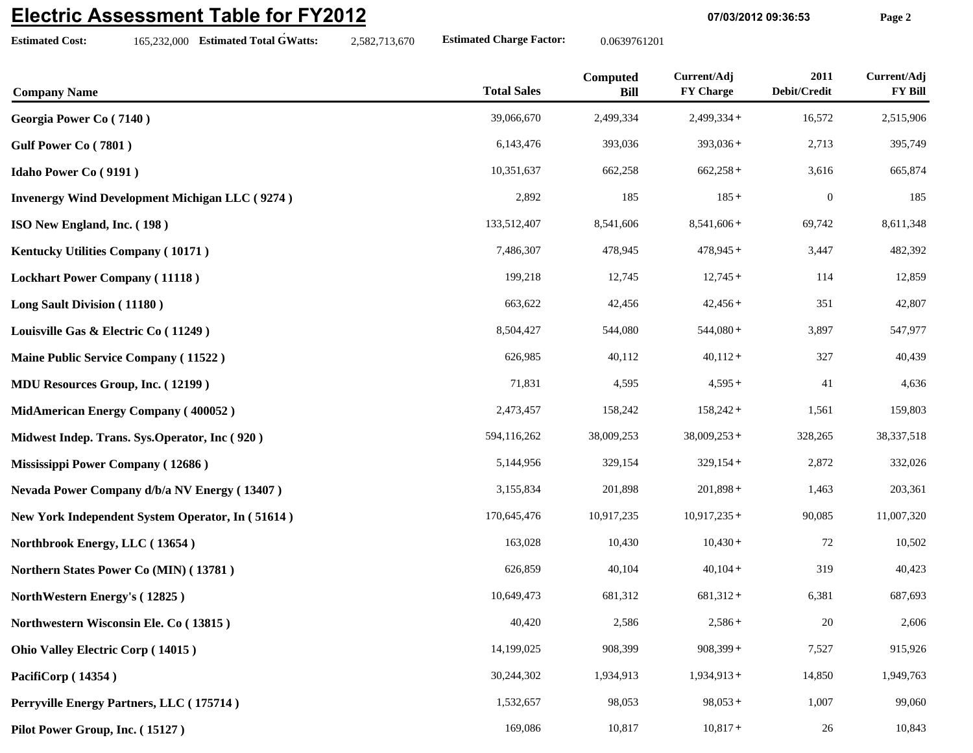## **Electric Assessment Table for FY2012**

**Estimated Cost:**

165,232,000 **Estimated Total GWatts:** 2,582,713,670 **Estimated Charge Factor:** 0.0639761201

**07/03/2012 09:36:53 Page 2**

| <b>Company Name</b>                                   | <b>Total Sales</b> | Computed<br><b>Bill</b> | Current/Adj<br><b>FY Charge</b> | 2011<br>Debit/Credit | Current/Adj<br><b>FY Bill</b> |
|-------------------------------------------------------|--------------------|-------------------------|---------------------------------|----------------------|-------------------------------|
| Georgia Power Co (7140)                               | 39,066,670         | 2,499,334               | $2,499,334+$                    | 16,572               | 2,515,906                     |
| Gulf Power Co (7801)                                  | 6,143,476          | 393,036                 | $393,036+$                      | 2,713                | 395,749                       |
| <b>Idaho Power Co (9191)</b>                          | 10,351,637         | 662,258                 | $662,258+$                      | 3,616                | 665,874                       |
| <b>Invenergy Wind Development Michigan LLC (9274)</b> | 2,892              | 185                     | $185 +$                         | $\boldsymbol{0}$     | 185                           |
| ISO New England, Inc. (198)                           | 133,512,407        | 8,541,606               | $8,541,606+$                    | 69,742               | 8,611,348                     |
| Kentucky Utilities Company (10171)                    | 7,486,307          | 478,945                 | $478,945+$                      | 3,447                | 482,392                       |
| <b>Lockhart Power Company (11118)</b>                 | 199,218            | 12,745                  | $12,745+$                       | 114                  | 12,859                        |
| Long Sault Division (11180)                           | 663,622            | 42,456                  | $42,456+$                       | 351                  | 42,807                        |
| Louisville Gas & Electric Co (11249)                  | 8,504,427          | 544,080                 | $544,080+$                      | 3,897                | 547,977                       |
| Maine Public Service Company (11522)                  | 626,985            | 40,112                  | $40,112+$                       | 327                  | 40,439                        |
| <b>MDU Resources Group, Inc. (12199)</b>              | 71,831             | 4,595                   | $4,595+$                        | 41                   | 4,636                         |
| <b>MidAmerican Energy Company (400052)</b>            | 2,473,457          | 158,242                 | $158,242+$                      | 1,561                | 159,803                       |
| Midwest Indep. Trans. Sys.Operator, Inc (920)         | 594,116,262        | 38,009,253              | $38,009,253+$                   | 328,265              | 38, 337, 518                  |
| Mississippi Power Company (12686)                     | 5,144,956          | 329,154                 | $329,154+$                      | 2,872                | 332,026                       |
| Nevada Power Company d/b/a NV Energy (13407)          | 3,155,834          | 201,898                 | $201,898+$                      | 1,463                | 203,361                       |
| New York Independent System Operator, In (51614)      | 170,645,476        | 10,917,235              | $10,917,235+$                   | 90,085               | 11,007,320                    |
| Northbrook Energy, LLC (13654)                        | 163,028            | 10,430                  | $10,430+$                       | 72                   | 10,502                        |
| Northern States Power Co (MIN) (13781)                | 626,859            | 40,104                  | $40,104+$                       | 319                  | 40,423                        |
| NorthWestern Energy's (12825)                         | 10,649,473         | 681,312                 | $681,312+$                      | 6,381                | 687,693                       |
| Northwestern Wisconsin Ele. Co (13815)                | 40,420             | 2,586                   | $2,586+$                        | $20\,$               | 2,606                         |
| Ohio Valley Electric Corp (14015)                     | 14,199,025         | 908,399                 | $908,399+$                      | 7,527                | 915,926                       |
| PacifiCorp (14354)                                    | 30,244,302         | 1,934,913               | $1,934,913+$                    | 14,850               | 1,949,763                     |
| Perryville Energy Partners, LLC (175714)              | 1,532,657          | 98,053                  | $98,053+$                       | 1,007                | 99,060                        |
| Pilot Power Group, Inc. (15127)                       | 169,086            | 10,817                  | $10,817+$                       | 26                   | 10,843                        |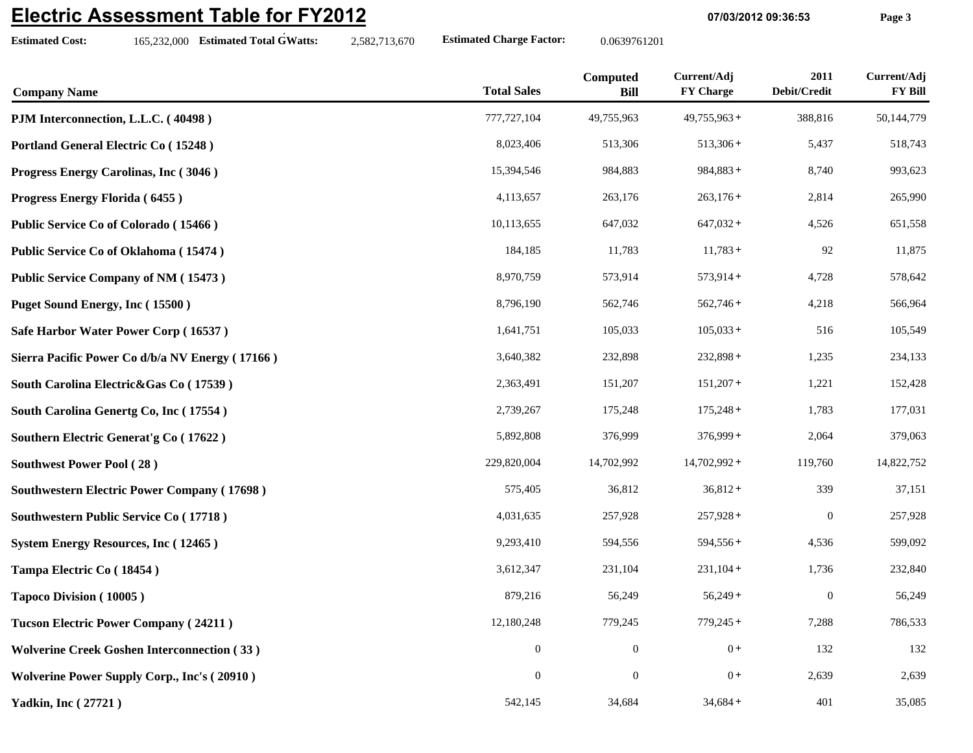## **Electric Assessment Table for FY2012**

**Estimated Cost:**

165,232,000 **Estimated Total GWatts:** 2,582,713,670 **Estimated Charge Factor:** 0.0639761201

**07/03/2012 09:36:53 Page 3**

| <b>Company Name</b>                                | <b>Total Sales</b> | Computed<br><b>Bill</b> | Current/Adj<br><b>FY Charge</b> | 2011<br>Debit/Credit | Current/Adj<br><b>FY Bill</b> |
|----------------------------------------------------|--------------------|-------------------------|---------------------------------|----------------------|-------------------------------|
| PJM Interconnection, L.L.C. (40498)                | 777, 727, 104      | 49,755,963              | $49,755,963+$                   | 388,816              | 50,144,779                    |
| Portland General Electric Co (15248)               | 8,023,406          | 513,306                 | $513,306+$                      | 5,437                | 518,743                       |
| Progress Energy Carolinas, Inc (3046)              | 15,394,546         | 984,883                 | $984,883+$                      | 8,740                | 993,623                       |
| Progress Energy Florida (6455)                     | 4,113,657          | 263,176                 | $263,176+$                      | 2,814                | 265,990                       |
| Public Service Co of Colorado (15466)              | 10,113,655         | 647,032                 | $647,032+$                      | 4,526                | 651,558                       |
| Public Service Co of Oklahoma (15474)              | 184,185            | 11,783                  | $11,783+$                       | 92                   | 11,875                        |
| <b>Public Service Company of NM (15473)</b>        | 8,970,759          | 573,914                 | $573,914+$                      | 4,728                | 578,642                       |
| Puget Sound Energy, Inc (15500)                    | 8,796,190          | 562,746                 | $562,746+$                      | 4,218                | 566,964                       |
| Safe Harbor Water Power Corp (16537)               | 1,641,751          | 105,033                 | $105,033+$                      | 516                  | 105,549                       |
| Sierra Pacific Power Co d/b/a NV Energy (17166)    | 3,640,382          | 232,898                 | $232,898+$                      | 1,235                | 234,133                       |
| South Carolina Electric&Gas Co (17539)             | 2,363,491          | 151,207                 | $151,207+$                      | 1,221                | 152,428                       |
| South Carolina Genertg Co, Inc (17554)             | 2,739,267          | 175,248                 | $175,248+$                      | 1,783                | 177,031                       |
| Southern Electric Generat's Co (17622)             | 5,892,808          | 376,999                 | $376,999+$                      | 2,064                | 379,063                       |
| <b>Southwest Power Pool (28)</b>                   | 229,820,004        | 14,702,992              | $14,702,992+$                   | 119,760              | 14,822,752                    |
| <b>Southwestern Electric Power Company (17698)</b> | 575,405            | 36,812                  | $36,812+$                       | 339                  | 37,151                        |
| <b>Southwestern Public Service Co (17718)</b>      | 4,031,635          | 257,928                 | $257,928+$                      | $\boldsymbol{0}$     | 257,928                       |
| <b>System Energy Resources, Inc (12465)</b>        | 9,293,410          | 594,556                 | $594,556+$                      | 4,536                | 599,092                       |
| Tampa Electric Co (18454)                          | 3,612,347          | 231,104                 | $231,104+$                      | 1,736                | 232,840                       |
| Tapoco Division (10005)                            | 879,216            | 56,249                  | $56,249+$                       | $\mathbf{0}$         | 56,249                        |
| <b>Tucson Electric Power Company (24211)</b>       | 12,180,248         | 779,245                 | $779,245+$                      | 7,288                | 786,533                       |
| <b>Wolverine Creek Goshen Interconnection (33)</b> | $\boldsymbol{0}$   | $\boldsymbol{0}$        | $0+$                            | 132                  | 132                           |
| <b>Wolverine Power Supply Corp., Inc's (20910)</b> | $\boldsymbol{0}$   | $\boldsymbol{0}$        | $0+$                            | 2,639                | 2,639                         |
| <b>Yadkin, Inc (27721)</b>                         | 542,145            | 34,684                  | $34,684+$                       | 401                  | 35,085                        |